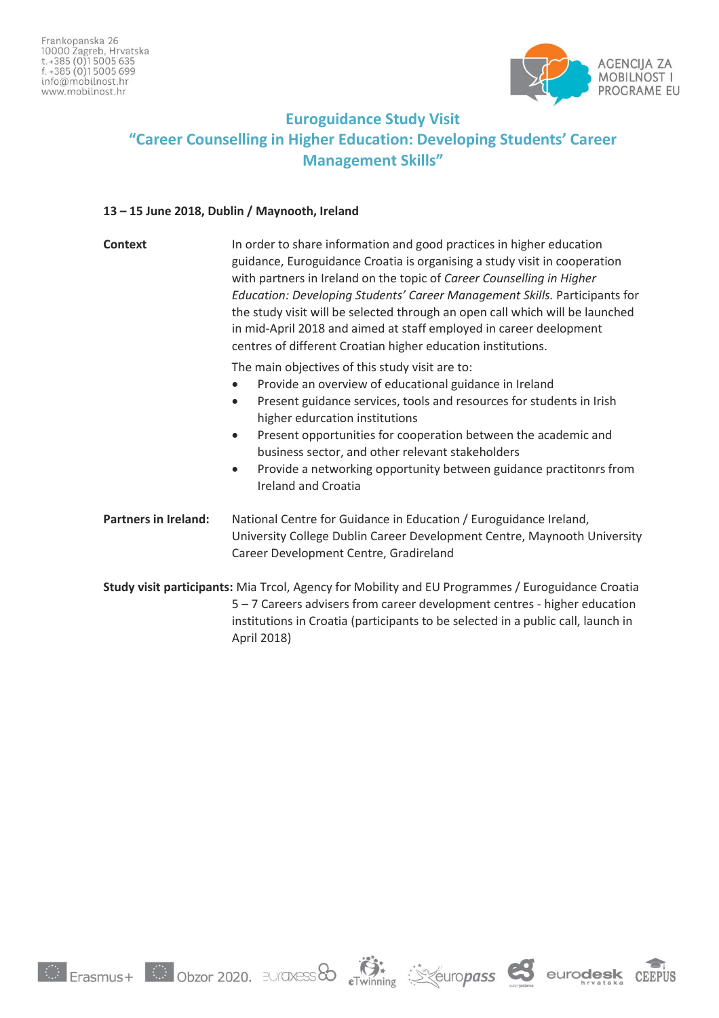

## **Euroguidance Study Visit "Career Counselling in Higher Education: Developing Students' Career Management Skills"**

## **13 – 15 June 2018, Dublin / Maynooth, Ireland**

| Context                                                                                                                                                                                                                                                                           | In order to share information and good practices in higher education<br>guidance, Euroguidance Croatia is organising a study visit in cooperation<br>with partners in Ireland on the topic of Career Counselling in Higher<br>Education: Developing Students' Career Management Skills. Participants for<br>the study visit will be selected through an open call which will be launched<br>in mid-April 2018 and aimed at staff employed in career deelopment<br>centres of different Croatian higher education institutions. |
|-----------------------------------------------------------------------------------------------------------------------------------------------------------------------------------------------------------------------------------------------------------------------------------|--------------------------------------------------------------------------------------------------------------------------------------------------------------------------------------------------------------------------------------------------------------------------------------------------------------------------------------------------------------------------------------------------------------------------------------------------------------------------------------------------------------------------------|
|                                                                                                                                                                                                                                                                                   | The main objectives of this study visit are to:<br>Provide an overview of educational guidance in Ireland<br>Present guidance services, tools and resources for students in Irish<br>$\bullet$<br>higher edurcation institutions<br>Present opportunities for cooperation between the academic and<br>$\bullet$<br>business sector, and other relevant stakeholders<br>Provide a networking opportunity between guidance practitonrs from<br>$\bullet$<br><b>Ireland and Croatia</b>                                           |
| <b>Partners in Ireland:</b>                                                                                                                                                                                                                                                       | National Centre for Guidance in Education / Euroguidance Ireland,<br>University College Dublin Career Development Centre, Maynooth University<br>Career Development Centre, Gradireland                                                                                                                                                                                                                                                                                                                                        |
| Study visit participants: Mia Trcol, Agency for Mobility and EU Programmes / Euroguidance Croatia<br>5 - 7 Careers advisers from career development centres - higher education<br>institutions in Croatia (participants to be selected in a public call, launch in<br>April 2018) |                                                                                                                                                                                                                                                                                                                                                                                                                                                                                                                                |